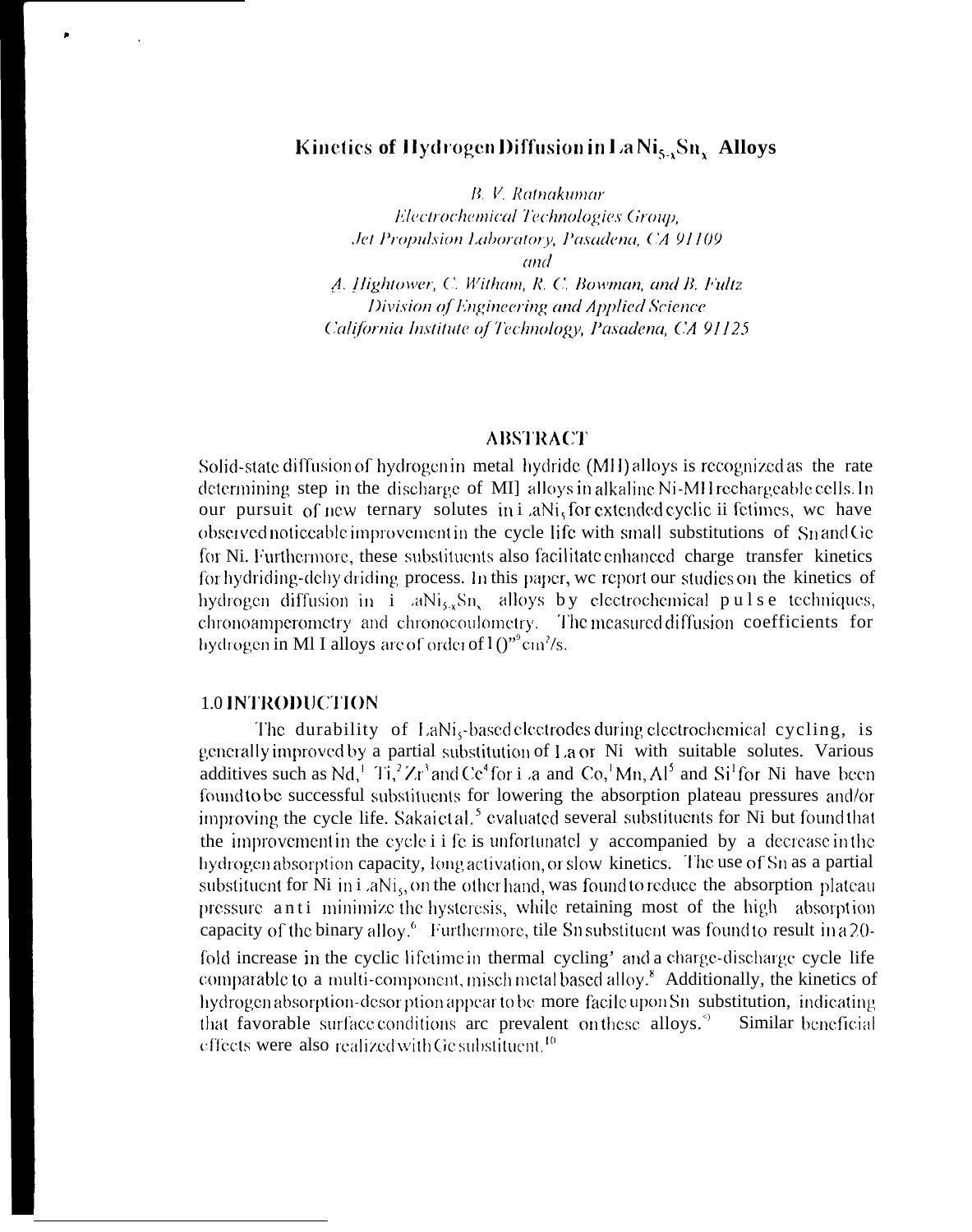# Kinetics of Hydrogen Diffusion in La  $\text{Ni}_{5.3}\text{Sn}_{x}$  Alloys

B. V. Ratnakumar

Electrochemical Technologies Group, Jet Propulsion Laboratory, Pasadena, CA 91109 and

A. Hightower, C. Witham, R. C. Bowman, and B. Fultz Division of Engineering and Applied Science California Institute of Technology, Pasadena, CA 91125

## **ABSTRACT**

Solid-state diffusion of hydrogen in metal hydride (MH) alloys is recognized as the rate determining step in the discharge of MI alloys in alkaline Ni-MH rechargeable cells. In our pursuit of new ternary solutes in i aNi, for extended cyclic ii fetimes, we have observed noticeable improvement in the cycle life with small substitutions of SnandGe for Ni. Furthermore, these substituents also facilitate enhanced charge transfer kinetics for hydriding-dehy driding process. In this paper, we report our studies on the kinetics of hydrogen diffusion in  $i$  aNi<sub>5x</sub>Sn<sub>s</sub> alloys by electrochemical pulse techniques, chronoamperometry and chronocoulometry. The measured diffusion coefficients for hydrogen in MI I alloys are of order of  $10^{'''}$  cm<sup>2</sup>/s.

# **1.0 INTRODUCTION**

The durability of LaNi<sub>s</sub>-based electrodes during electrochemical cycling, is generally improved by a partial substitution of La or Ni with suitable solutes. Various additives such as Nd,<sup>1</sup> Ti,<sup>2</sup> Zr<sup>3</sup> and Ce<sup>4</sup> for i .a and Co,<sup>1</sup> Mn, Al<sup>5</sup> and Si<sup>1</sup> for Ni have been found to be successful substituents for lowering the absorption plateau pressures and/or improving the cycle life. Sakaict al.<sup>5</sup> evaluated several substituents for Ni but found that the improvement in the cycle i i fe is unfortunatel y accompanied by a decrease in the hydrogen absorption capacity, long activation, or slow kinetics. The use of Sn as a partial substituent for Ni in  $i$  aN $i<sub>5</sub>$ , on the other hand, was found to reduce the absorption plateau pressure anti-minimize the hysteresis, while retaining most of the high absorption capacity of the binary alloy.<sup>6</sup> Furthermore, tile Sn substituent was found to result in a 20fold increase in the cyclic lifetime in thermal cycling' and a charge-discharge cycle life comparable to a multi-component, misch metal based alloy.<sup>8</sup> Additionally, the kinetics of hydrogen absorption-desorption appear to be more facile upon Sn substitution, indicating that favorable surface conditions are prevalent on these alloys.<sup>5</sup> Similar beneficial effects were also realized with Ge substituent.<sup>10</sup>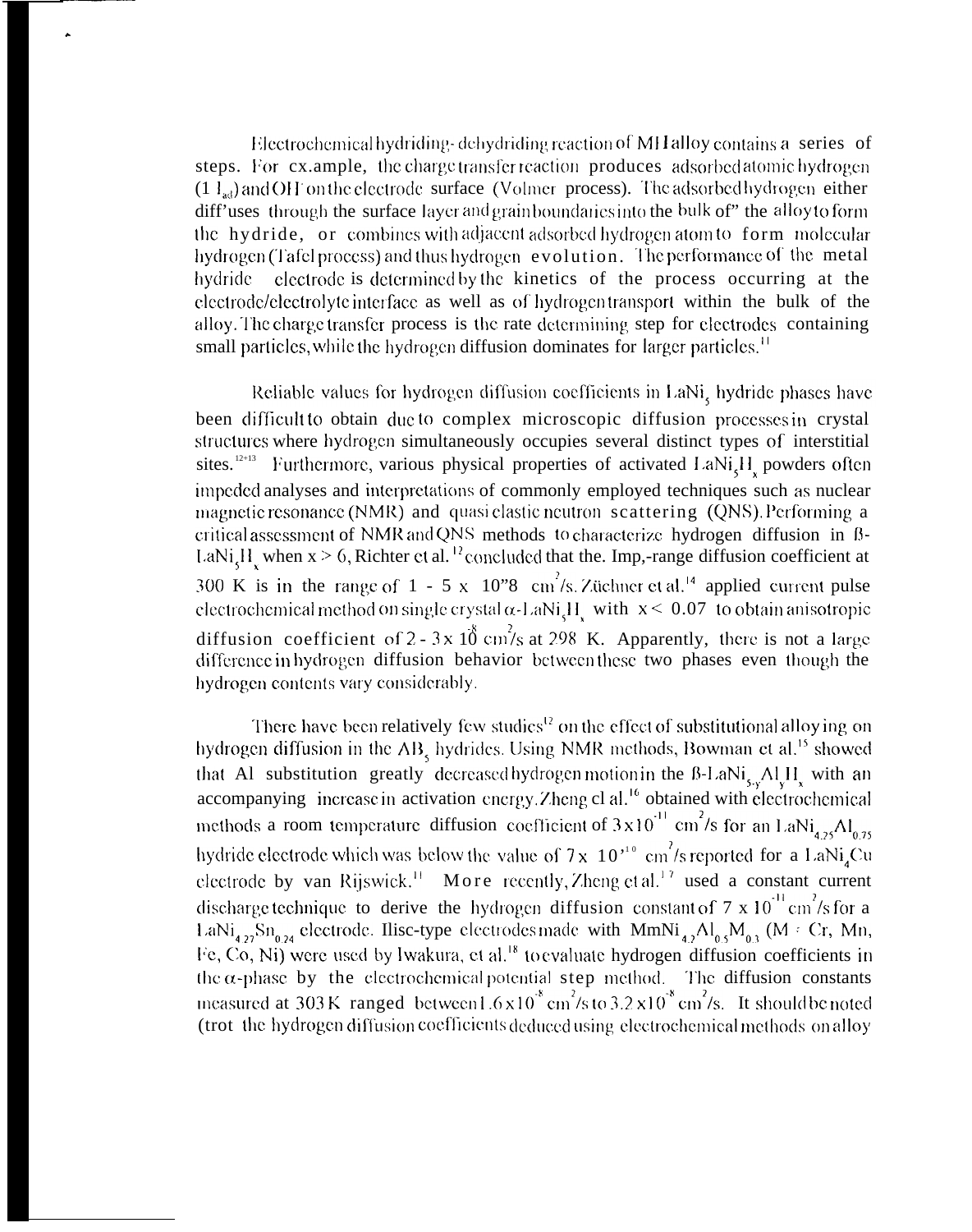Electrochemical hydriding-dehydriding reaction of MH alloy contains a series of steps. For cx.ample, the charge transfer reaction produces adsorbed atomic hydrogen  $(1 \, I_{ad})$  and OH on the electrode surface (Volmer process). The adsorbed hydrogen either diff'uses through the surface layer and grain boundaries into the bulk of" the alloy to form the hydride, or combines with adjacent adsorbed hydrogen atom to form molecular hydrogen (Tafel process) and thus hydrogen evolution. The performance of the metal hydride electrode is determined by the kinetics of the process occurring at the electrode/electrolyte interface as well as of hydrogen transport within the bulk of the alloy. The charge transfer process is the rate determining step for electrodes containing small particles, while the hydrogen diffusion dominates for larger particles.<sup>11</sup>

Reliable values for hydrogen diffusion coefficients in LaNi<sub>s</sub> hydride phases have been difficult to obtain due to complex microscopic diffusion processes in crystal structures where hydrogen simultaneously occupies several distinct types of interstitial sites.<sup>12+13</sup> Furthermore, various physical properties of activated LaNi<sub>5</sub>H<sub>x</sub> powders often impeded analyses and interpretations of commonly employed techniques such as nuclear magnetic resonance (NMR) and quasi clastic neutron scattering (QNS). Performing a critical assessment of NMR and QNS methods to characterize hydrogen diffusion in B-LaNi<sub>s</sub>H<sub>y</sub> when  $x > 6$ , Richter et al.<sup>12</sup> concluded that the. Imp,-range diffusion coefficient at 300 K is in the range of 1 - 5 x 10"8 cm<sup>2</sup>/s. Züchner et al.<sup>14</sup> applied current pulse electrochemical method on single crystal  $\alpha$ -LaNi<sub>c</sub>H<sub>2</sub> with  $x \le 0.07$  to obtain anisotropic diffusion coefficient of 2 - 3x 10 cm/s at 298 K. Apparently, there is not a large difference in hydrogen diffusion behavior between these two phases even though the hydrogen contents vary considerably.

There have been relatively few studies<sup>12</sup> on the effect of substitutional alloy ing on hydrogen diffusion in the AB, hydrides. Using NMR methods, Bowman et al.<sup>15</sup> showed that Al substitution greatly decreased hydrogen motion in the B-LaNi<sub>sy</sub> $\text{Al}_y\text{H}_x$  with an accompanying increase in activation energy. Zheng el al.<sup>16</sup> obtained with electrochemical methods a room temperature diffusion coefficient of  $3 \times 10^{-11}$  cm<sup>2</sup>/s for an LaNi<sub>4.25</sub>Al<sub>0.75</sub> hydride electrode which was below the value of  $7 \times 10^{-10}$  cm<sup>2</sup>/s reported for a LaNi<sub>4</sub>Cu electrode by van Rijswick.<sup>11</sup> More recently, Zheng et al.<sup>17</sup> used a constant current discharge technique to derive the hydrogen diffusion constant of 7 x 10<sup>-11</sup> cm<sup>2</sup>/s for a LaNi<sub>4.27</sub>Sn<sub>0.24</sub> electrode. Ilisc-type electrodes made with MmNi<sub>4.2</sub>Al<sub>05</sub>M<sub>03</sub> (M = Cr, Mn, Fe, Co, Ni) were used by Iwakura, et al.<sup>18</sup> to evaluate hydrogen diffusion coefficients in the  $\alpha$ -phase by the electrochemical potential step method. The diffusion constants measured at 303 K ranged between  $1.6 \times 10^8$  cm<sup>2</sup>/s to  $3.2 \times 10^8$  cm<sup>2</sup>/s. It should be noted (trot the hydrogen diffusion coefficients deduced using electrochemical methods on alloy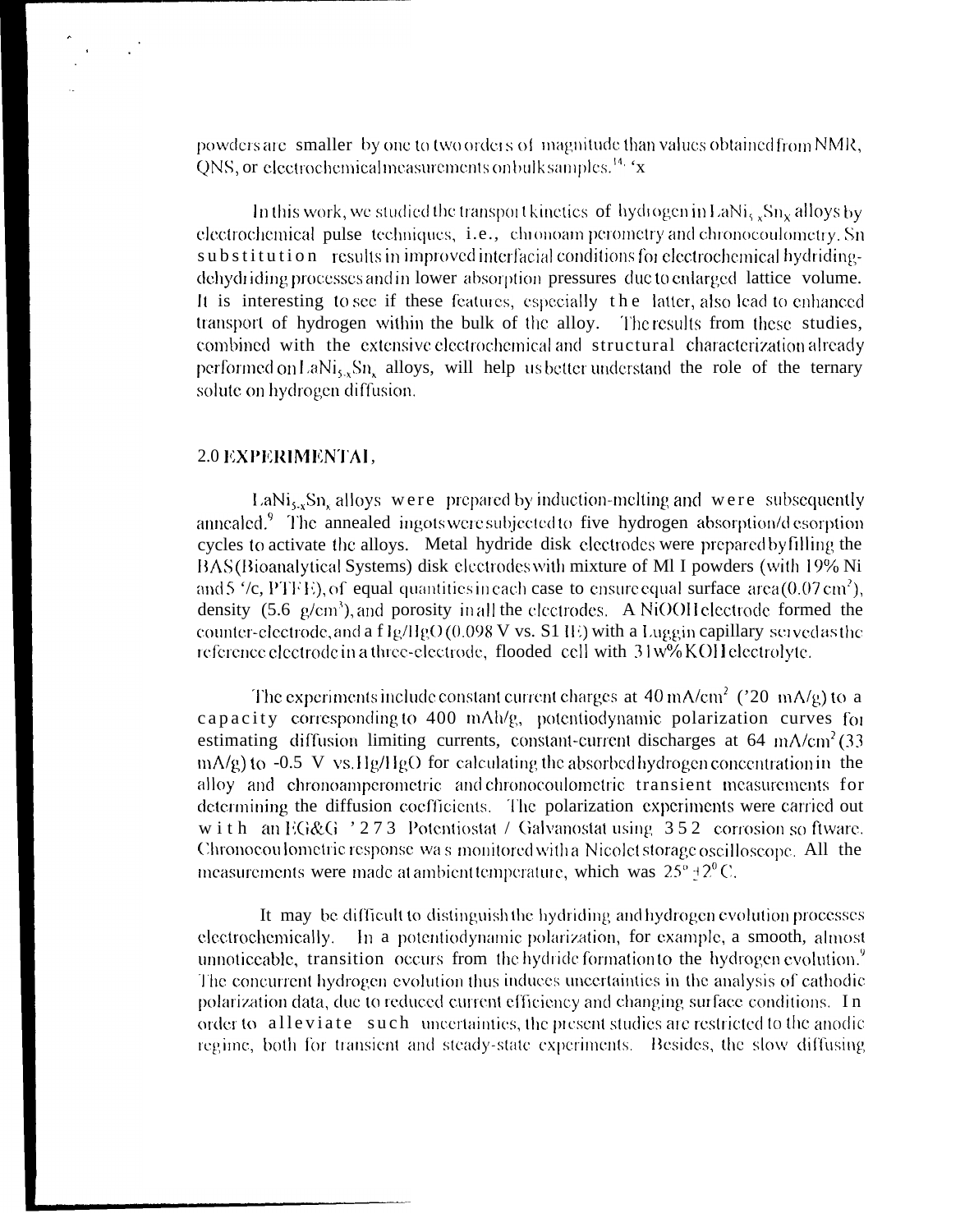powders are smaller by one to two orders of magnitude than values obtained from NMR, ONS, or electrochemical measurements on bulk samples.<sup>14, 'x</sup>

In this work, we studied the transport kinetics of hydrogen in LaNi<sub>s</sub> Sn<sub>x</sub> alloys by electrochemical pulse techniques, i.e., chronoam perometry and chronocoulometry. Sn substitution results in improved interfacial conditions for electrochemical hydridingdehydriding processes and in lower absorption pressures due to enlarged lattice volume. It is interesting to see if these features, especially the latter, also lead to enhanced transport of hydrogen within the bulk of the alloy. The results from these studies. combined with the extensive electrochemical and structural characterization already performed on LaNi<sub>s</sub>, Sn, alloys, will help us better understand the role of the ternary solute on hydrogen diffusion.

## 2.0 EXPERIMENTAL,

LaNi<sub>5-x</sub>Sn<sub>x</sub> alloys were prepared by induction-melting and were subsequently annealed.<sup>9</sup> The annealed ingots were subjected to five hydrogen absorption/d esorption cycles to activate the alloys. Metal hydride disk electrodes were prepared by filling the BAS (Bioanalytical Systems) disk electrodes with mixture of MI I powders (with 19% Ni and 5  $\degree$ /c, PTFE), of equal quantities in each case to ensure equal surface area (0.07 cm<sup>2</sup>), density  $(5.6 \text{ g/cm}^3)$ , and porosity in all the electrodes. A NiOOH electrode formed the counter-electrode, and a  $f \lg/\text{HgO}(0.098 \text{ V} \text{ vs. S1} \text{ H})$  with a Luggin capillary served as the reference electrode in a three-electrode, flooded cell with 31w% KOH electrolyte.

The experiments include constant current charges at  $40 \text{ mA/cm}^2$  ('20 mA/g) to a capacity corresponding to 400 mAh/g, potentiodynamic polarization curves for estimating diffusion limiting currents, constant-current discharges at  $64 \text{ mA/cm}^2$  (33)  $mA/g$ ) to -0.5 V vs. Hg/HgO for calculating the absorbed hydrogen concentration in the alloy and chronoamperometric and chronocoulometric transient measurements for determining the diffusion coefficients. The polarization experiments were carried out with an EG&G '273 Potentiostat / Galvanostat using 352 corrosion so ftware. Chronocou lometric response was monitored with a Nicolet storage oscilloscope. All the measurements were made at ambient temperature, which was  $25^{\circ} + 2^{\circ}$ C.

It may be difficult to distinguish the hydriding and hydrogen evolution processes electrochemically. In a potentiodynamic polarization, for example, a smooth, almost unnoticeable, transition occurs from the hydride formation to the hydrogen evolution.<sup>9</sup> The concurrent hydrogen evolution thus induces uncertainties in the analysis of cathodic polarization data, due to reduced current efficiency and changing surface conditions. In order to alleviate such uncertainties, the present studies are restricted to the anodic regime, both for transient and steady-state experiments. Besides, the slow diffusing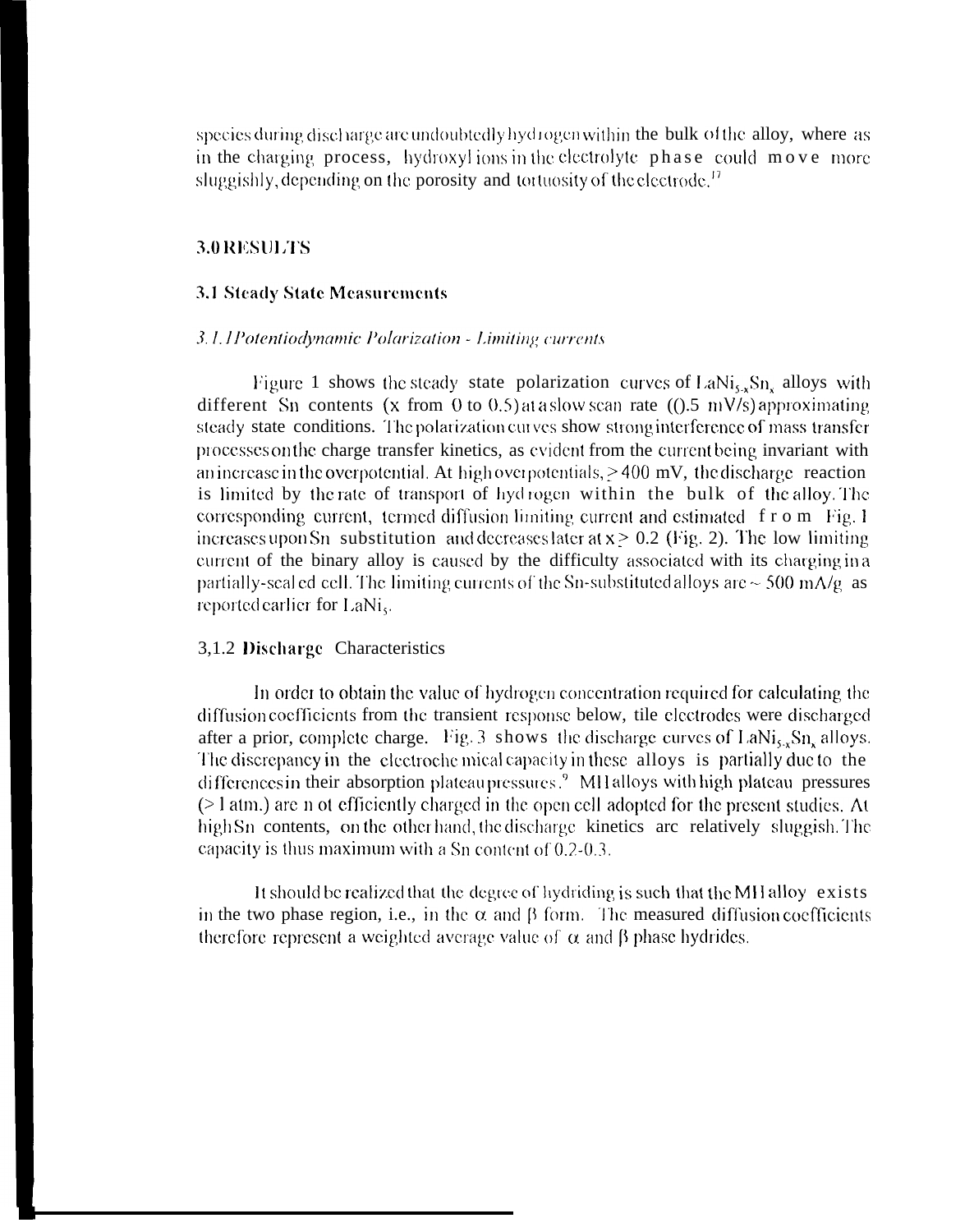species during discharge are undoubtedly hydrogen within the bulk of the alloy, where as in the charging process, hydroxylions in the electrolyte phase could move more sluggishly, depending on the porosity and tortuosity of the electrode.<sup>17</sup>

# 3.0 RESULTS

#### **3.1 Steady State Measurements**

#### 3.1.1Potentiodynamic Polarization - Limiting currents

Figure 1 shows the steady state polarization curves of LaNi<sub>sx</sub>Sn, alloys with different Sn contents (x from 0 to 0.5) at a slow scan rate ( $(0.5 \text{ mV/s})$  approximating steady state conditions. The polarization curves show strong interference of mass transfer processes on the charge transfer kinetics, as evident from the current being invariant with an increase in the overpotential. At high overpotentials,  $>400$  mV, the discharge reaction is limited by the rate of transport of hydrogen within the bulk of the alloy. The corresponding current, termed diffusion limiting current and estimated f r o m Fig. 1 increases upon Sn substitution and decreases later at  $x \ge 0.2$  (Fig. 2). The low limiting current of the binary alloy is caused by the difficulty associated with its charging in a partially-scal ed cell. The limiting currents of the Sn-substituted alloys are  $\sim$  500 mA/g as reported earlier for LaNi,

## 3,1.2 Discharge Characteristics

In order to obtain the value of hydrogen concentration required for calculating the diffusion coefficients from the transient response below, tile electrodes were discharged after a prior, complete charge. Fig. 3 shows the discharge curves of LaNi<sub>s</sub>, Sn, alloys. The discrepancy in the electroche mical capacity in these alloys is partially due to the differences in their absorption plateaupressures.<sup>9</sup> MH alloys with high plateau pressures  $($  atm.) are n ot efficiently charged in the open cell adopted for the present studies. At high Sn contents, on the other hand, the discharge kinetics are relatively sluggish. The capacity is thus maximum with a Sn content of  $0.2-0.3$ .

It should be realized that the degree of hydriding is such that the MH alloy exists in the two phase region, i.e., in the  $\alpha$  and  $\beta$  form. The measured diffusion coefficients therefore represent a weighted average value of  $\alpha$  and  $\beta$  phase hydrides.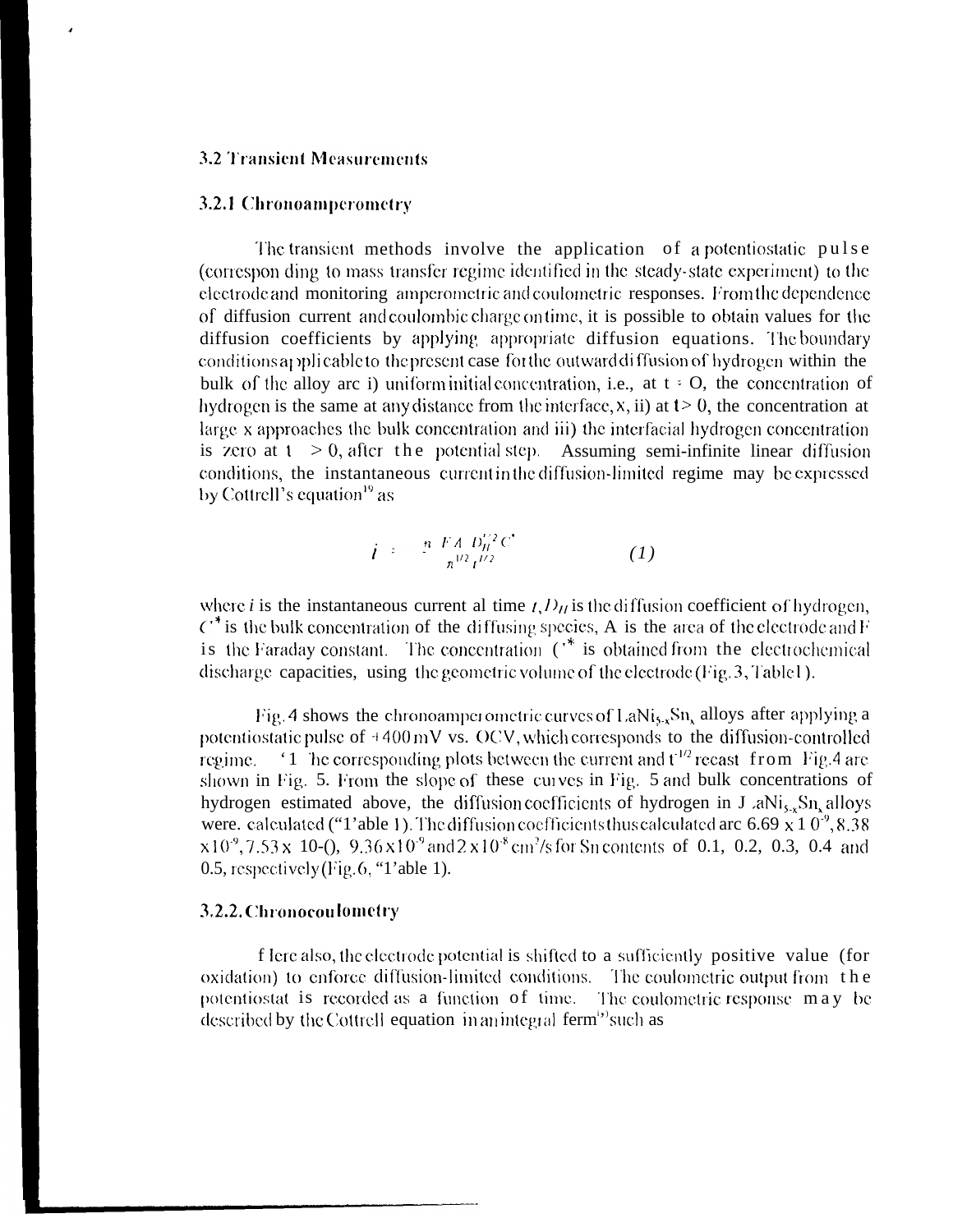#### **3.2 Transient Measurements**

#### 3.2.1 Chronoamperometry

The transient methods involve the application of a potentiostatic pulse (correspon ding to mass transfer regime identified in the steady-state experiment) to the electrode and monitoring amperometric and coulometric responses. From the dependence of diffusion current and coulombic charge on time, it is possible to obtain values for the diffusion coefficients by applying appropriate diffusion equations. The boundary conditions applicable to the present case for the outward diffusion of hydrogen within the bulk of the alloy are i) uniform initial concentration, i.e., at  $t \in O$ , the concentration of hydrogen is the same at any distance from the interface,  $x$ , ii) at  $t > 0$ , the concentration at large x approaches the bulk concentration and iii) the interfacial hydrogen concentration is zero at  $t > 0$ , after the potential step. Assuming semi-infinite linear diffusion conditions, the instantaneous current in the diffusion-limited regime may be expressed by Cottrell's equation<sup>19</sup> as

$$
i = \frac{n \ E A D_H^{'2} C^*}{n^{1/2} t^{1/2}} \tag{1}
$$

where *i* is the instantaneous current al time  $t$ ,  $D_H$  is the diffusion coefficient of hydrogen,  $C^*$  is the bulk concentration of the diffusing species. A is the area of the electrode and F is the Faraday constant. The concentration  $(\cdot^*)$  is obtained from the electrochemical discharge capacities, using the geometric volume of the electrode (Fig. 3, Table 1).

Fig. 4 shows the chronoamperometric curves of LaNi<sub>5</sub>, Sn, alloys after applying a potentiostatic pulse of  $+400 \text{ mV}$  vs. OCV, which corresponds to the diffusion-controlled '1 he corresponding plots between the current and  $t^{1/2}$  recast from Fig.4 are regime. shown in Fig. 5. From the slope of these curves in Fig. 5 and bulk concentrations of hydrogen estimated above, the diffusion coefficients of hydrogen in  $J_a N i_s$ ,  $S n_s$  alloys were. calculated ("1'able 1). The diffusion coefficients thus calculated arc 6.69 x 1  $0^{\degree}$ , 8.38  $x10^9$ , 7.53 x 10-(), 9.36 x 10<sup>-9</sup> and 2 x 10<sup>-8</sup> cm<sup>2</sup>/s for Sn contents of 0.1, 0.2, 0.3, 0.4 and 0.5, respectively (Fig. 6, "1'able 1).

#### 3.2.2. Chronocoulometry

f lere also, the electrode potential is shifted to a sufficiently positive value (for oxidation) to enforce diffusion-limited conditions. The coulometric output from the potentiostat is recorded as a function of time. The coulometric response may be described by the Cottrell equation in an integral ferm<sup>i</sup> such as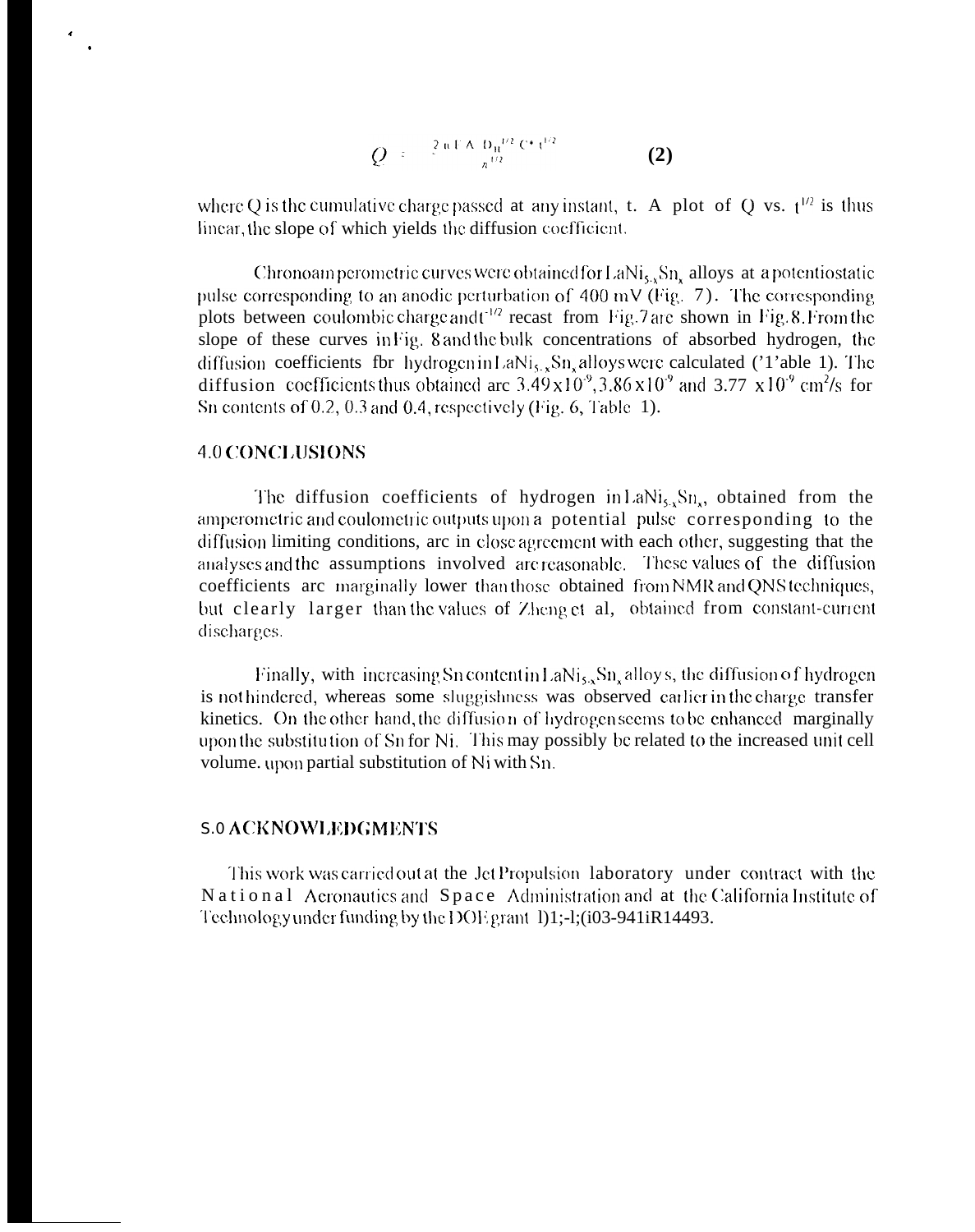$$
Q = \frac{2 \pi F A B_H^{1/2} C^* t^{1/2}}{\pi^{1/2}}
$$
 (2)

where Q is the cumulative charge passed at any instant, t. A plot of Q vs.  $t^{1/2}$  is thus linear, the slope of which yields the diffusion coefficient.

Chronoam perometric curves were obtained for LaNi<sub>s</sub>, Sn, alloys at a potentiostatic pulse corresponding to an anodic perturbation of 400 mV (Fig.  $7$ ). The corresponding plots between coulombic charge and t<sup>12</sup> recast from Fig. 7 are shown in Fig. 8. From the slope of these curves in Fig. 8 and the bulk concentrations of absorbed hydrogen, the diffusion coefficients fbr hydrogen in LaNi<sub>s</sub>, Sn, alloys were calculated ('1'able 1). The diffusion coefficients thus obtained are  $3.49 \times 10^{9}$ ,  $3.86 \times 10^{9}$  and  $3.77 \times 10^{9}$  cm<sup>2</sup>/s for Sn contents of 0.2, 0.3 and 0.4, respectively (Fig. 6, Table 1).

## **4.0 CONCLUSIONS**

The diffusion coefficients of hydrogen in LaNi<sub>s</sub>,  $Sn_{s}$ , obtained from the amperometric and coulometric outputs upon a potential pulse corresponding to the diffusion limiting conditions, are in close agreement with each other, suggesting that the analyses and the assumptions involved are reasonable. These values of the diffusion coefficients arc marginally lower than those obtained from NMR and QNS techniques, but clearly larger than the values of Zheng et al, obtained from constant-current discharges.

Finally, with increasing Sn content in LaNi<sub>s</sub>, Sn, alloys, the diffusion of hydrogen is nothindered, whereas some sluggishness was observed carlier in the charge transfer kinetics. On the other hand, the diffusion of hydrogen seems to be enhanced marginally upon the substitution of Sn for Ni. This may possibly be related to the increased unit cell volume. upon partial substitution of Ni with Sn.

# **S.0 ACKNOWLEDGMENTS**

This work was carried out at the Jet Propulsion laboratory under contract with the National Aeronautics and Space Administration and at the California Institute of Technology under funding by the DOE grant 1)1;-1;(i03-941iR14493.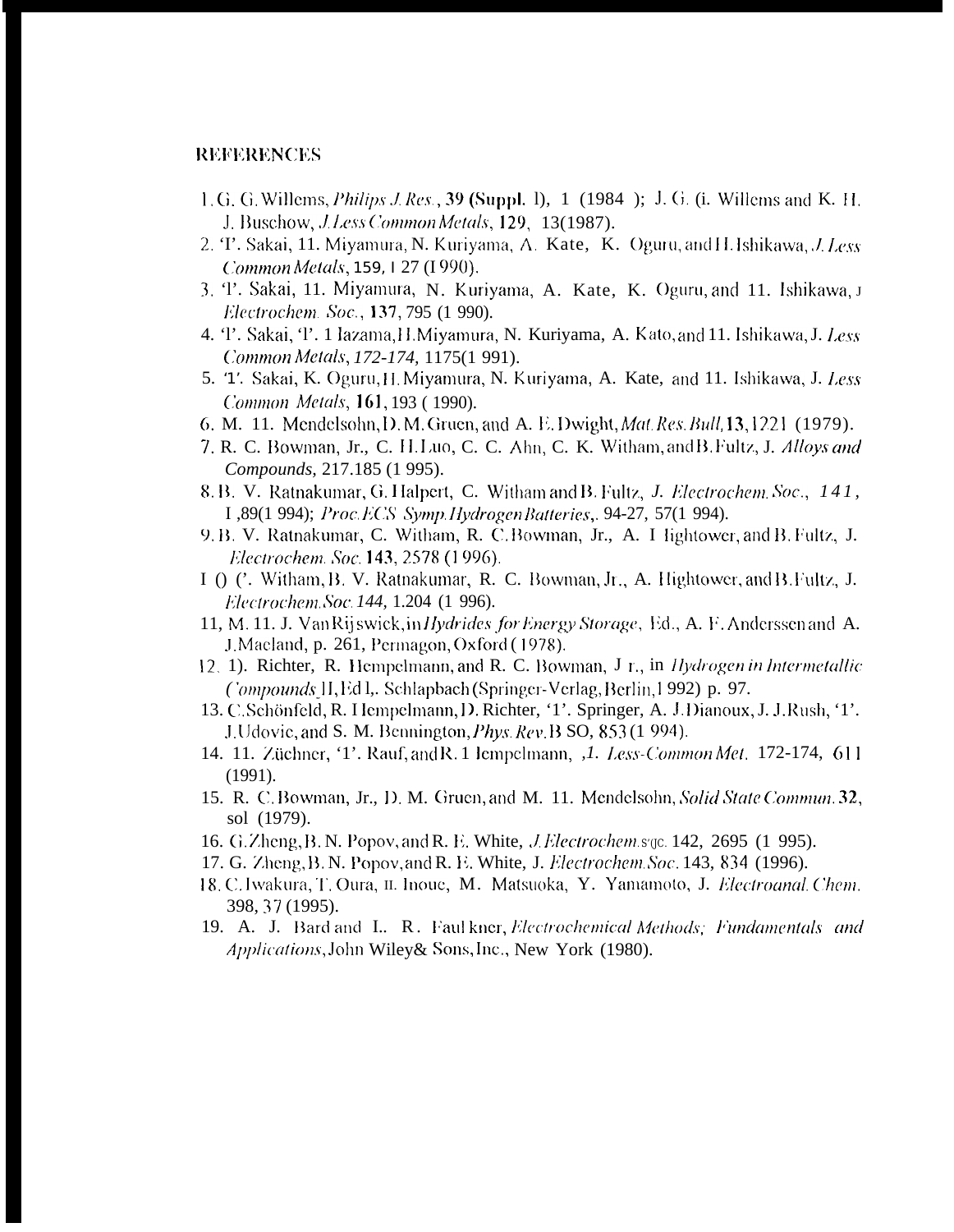## **REFERENCES**

- 1. G. G. Willems, *Philips J. Res.*, 39 (Suppl. 1), 1 (1984); J. G. (i. Willems and K. H. J. Buschow, *J. Less Common Metals*, 129, 13(1987).
- 2. T. Sakai, 11. Miyamura, N. Kuriyama, A. Kate, K. Oguru, and H. Ishikawa, J. Less Common Metals, 159, 127 (1990).
- 3. T. Sakai, 11. Miyamura, N. Kuriyama, A. Kate, K. Oguru, and 11. Ishikawa, J. Electrochem. Soc., 137, 795 (1 990).
- 4. T. Sakai, T. 1 lazama, H. Miyamura, N. Kuriyama, A. Kato, and 11. Ishikawa, J. Less Common Metals, 172-174, 1175(1 991).
- 5. '1'. Sakai, K. Oguru, H. Miyamura, N. Kuriyama, A. Kate, and 11. Ishikawa, J. Less Common Metals, 161, 193 (1990).
- 6. M. 11. Mendelsohn, D. M. Gruen, and A. E. Dwight, *Mat. Res. Bull*, 13, 1221 (1979).
- 7. R. C. Bowman, Jr., C. H. Luo, C. C. Ahn, C. K. Witham, and B. Fultz, J. Alloys and Compounds, 217.185 (1 995).
- 8. B. V. Ratnakumar, G. Halpert, C. Witham and B. Fultz, J. Electrochem. Soc., 141, I, 89(1 994); Proc. ECS Symp. Hydrogen Batteries, 94-27, 57(1 994).
- 9. B. V. Ratnakumar, C. Witham, R. C. Bowman, Jr., A. I lightower, and B. Fultz, J. Electrochem. Soc. 143, 2578 (1996).
- I () C. Witham, B. V. Ratnakumar, R. C. Bowman, Jr., A. Hightower, and B. Fultz, J. Electrochem Soc. 144, 1.204 (1 996).
- 11, M. 11. J. VanRijswick, in Hydrides for Energy Storage, Ed., A. F. Anderssen and A. J. Maeland, p. 261, Permagon, Oxford (1978).
- 12. 1). Richter, R. Hempelmann, and R. C. Bowman, J r., in *Hydrogen in Intermetallic* Compounds H, Ed 1, Schlapbach (Springer-Verlag, Berlin, 1992) p. 97.
- 13. C. Schönfeld, R. Hempelmann, D. Richter, '1'. Springer, A. J. Dianoux, J. J. Rush, '1'. J. Udovic, and S. M. Bennington, *Phys. Rev. B* SO, 853 (1 994).
- 14. 11. Züchner, '1'. Rauf, and R. 1 lempelmann, J. Less-Common Met. 172-174, 611  $(1991).$
- 15. R. C. Bowman, Jr., D. M. Gruen, and M. 11. Mendelsohn, Solid State Commun. 32, sol (1979).
- 16. G. Zheng, B. N. Popov, and R. E. White, *J. Electrochem.s.gc.* 142, 2695 (1 995).
- 17. G. Zheng, B. N. Popov, and R. E. White, J. Electrochem. Soc. 143, 834 (1996).
- 18. C. Iwakura, T. Oura, II. Inoue, M. Matsuoka, Y. Yamamoto, J. *Electroanal. Chem.* 398, 37 (1995).
- 19. A. J. Bard and I., R. Faul kner, Electrochemical Methods; Fundamentals and Applications, John Wiley& Sons, Inc., New York (1980).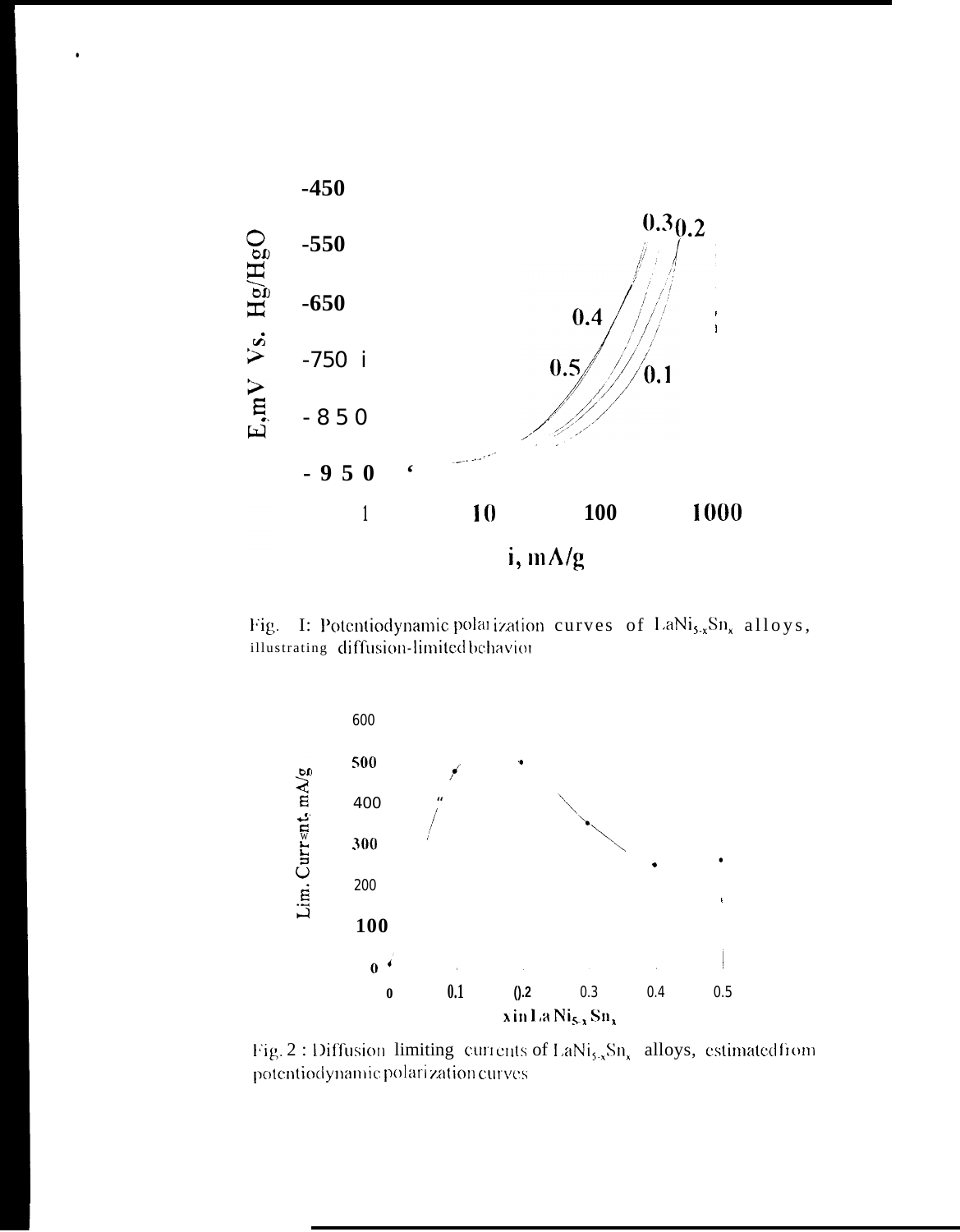

 $\ddot{\phantom{0}}$ 

Fig. I: Potentiodynamic polarization curves of  $\text{LaNi}_{5x}\text{Sn}_{x}$  alloys, illustrating diffusion-limited behavior



Fig. 2 : Diffusion limiting currents of  $LaNi_{5-x}Sn_x$  alloys, estimated from potentiodynamic polarization curves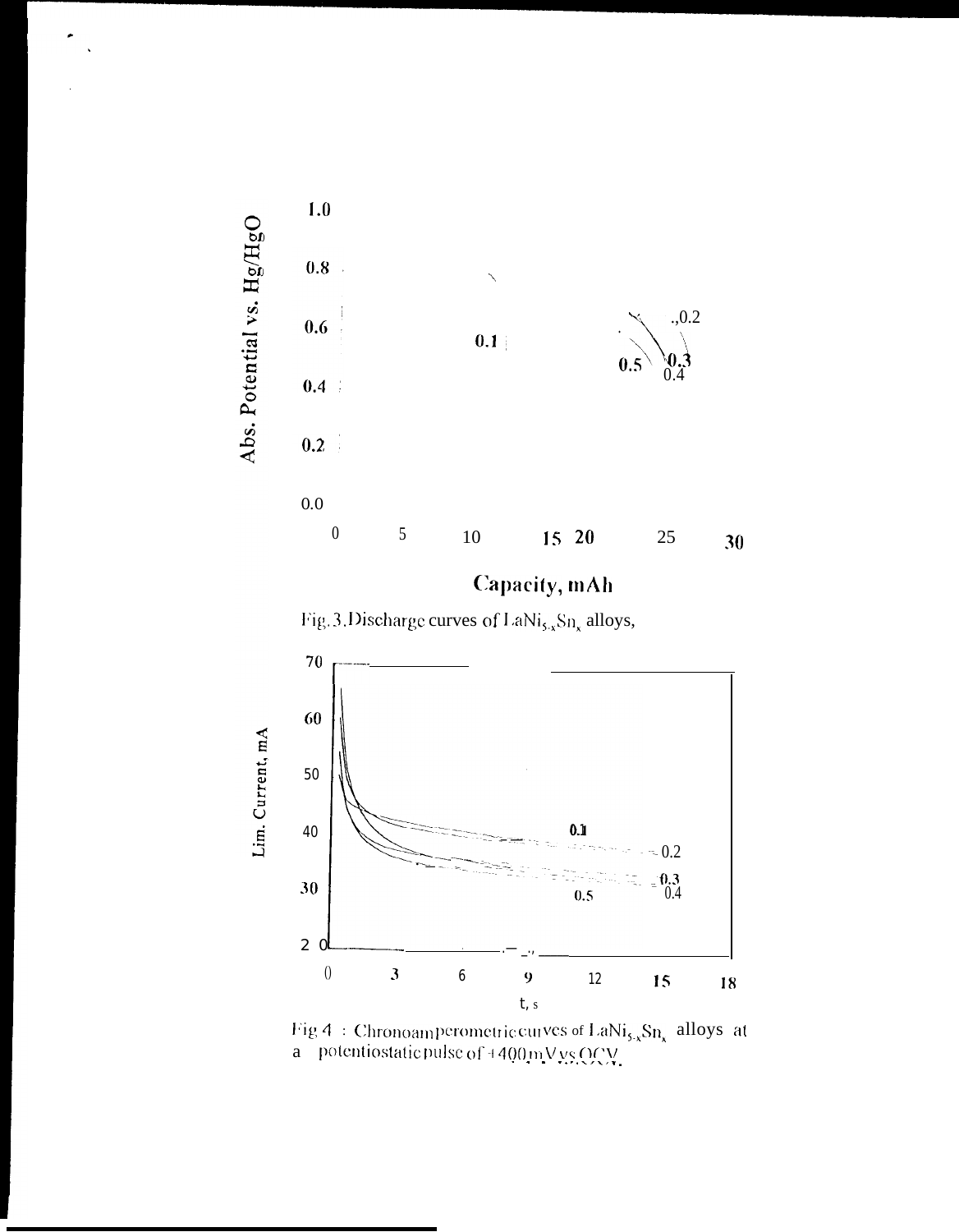

Capacity, mAh





Fig 4 : Chronoamperometric curves of LaNi<sub>5,x</sub>Sn<sub>x</sub> alloys at<br>a potentiostatic pulse of +400 mV vs OCV.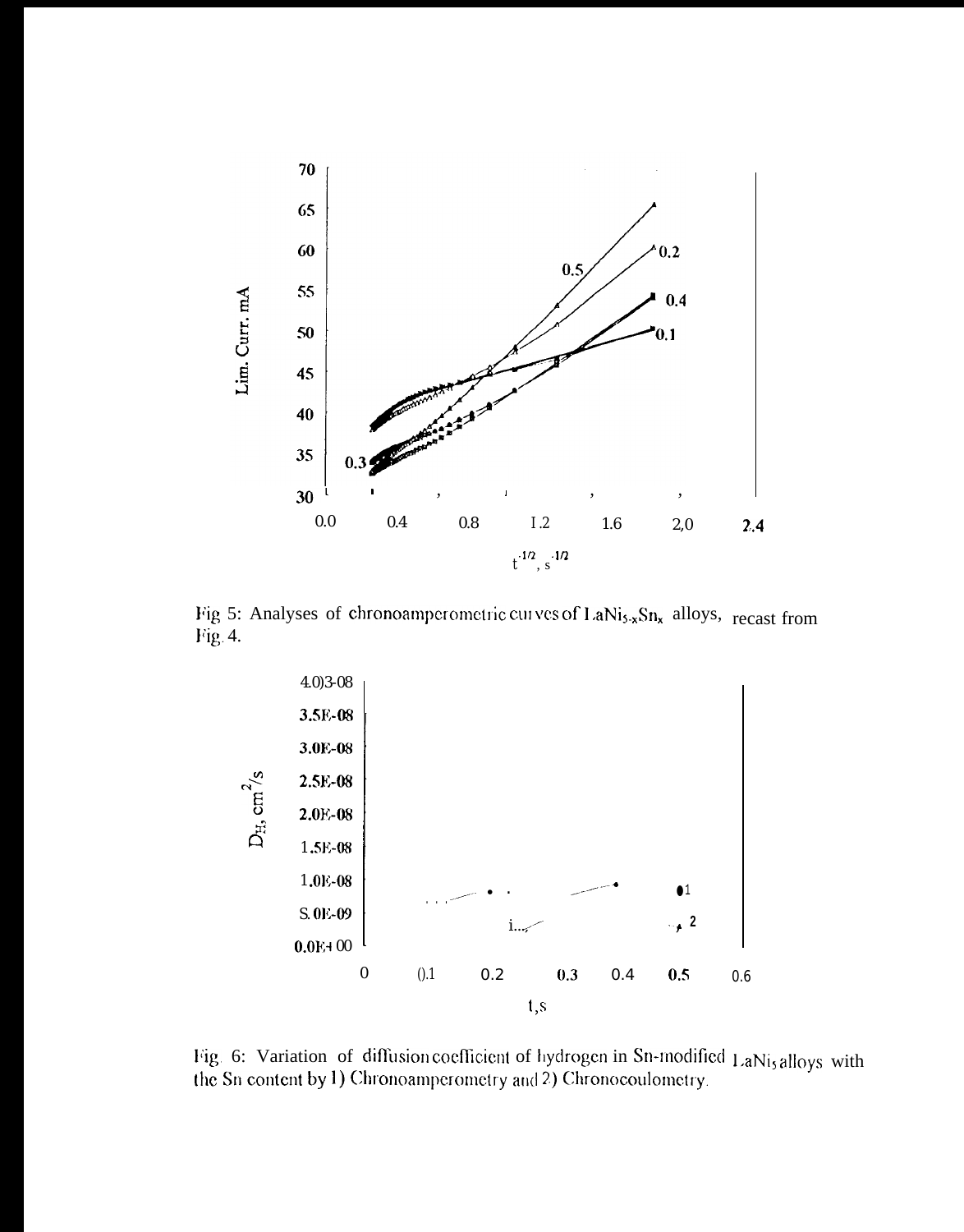

Fig 5: Analyses of chronoamperometric curves of LaNi<sub>5-x</sub>Sn<sub>x</sub> alloys, recast from Fig. 4.



Fig. 6: Variation of diffusion coefficient of hydrogen in Sn-modified LaNis alloys with the Sn content by 1) Chronoamperometry and 2) Chronocoulometry.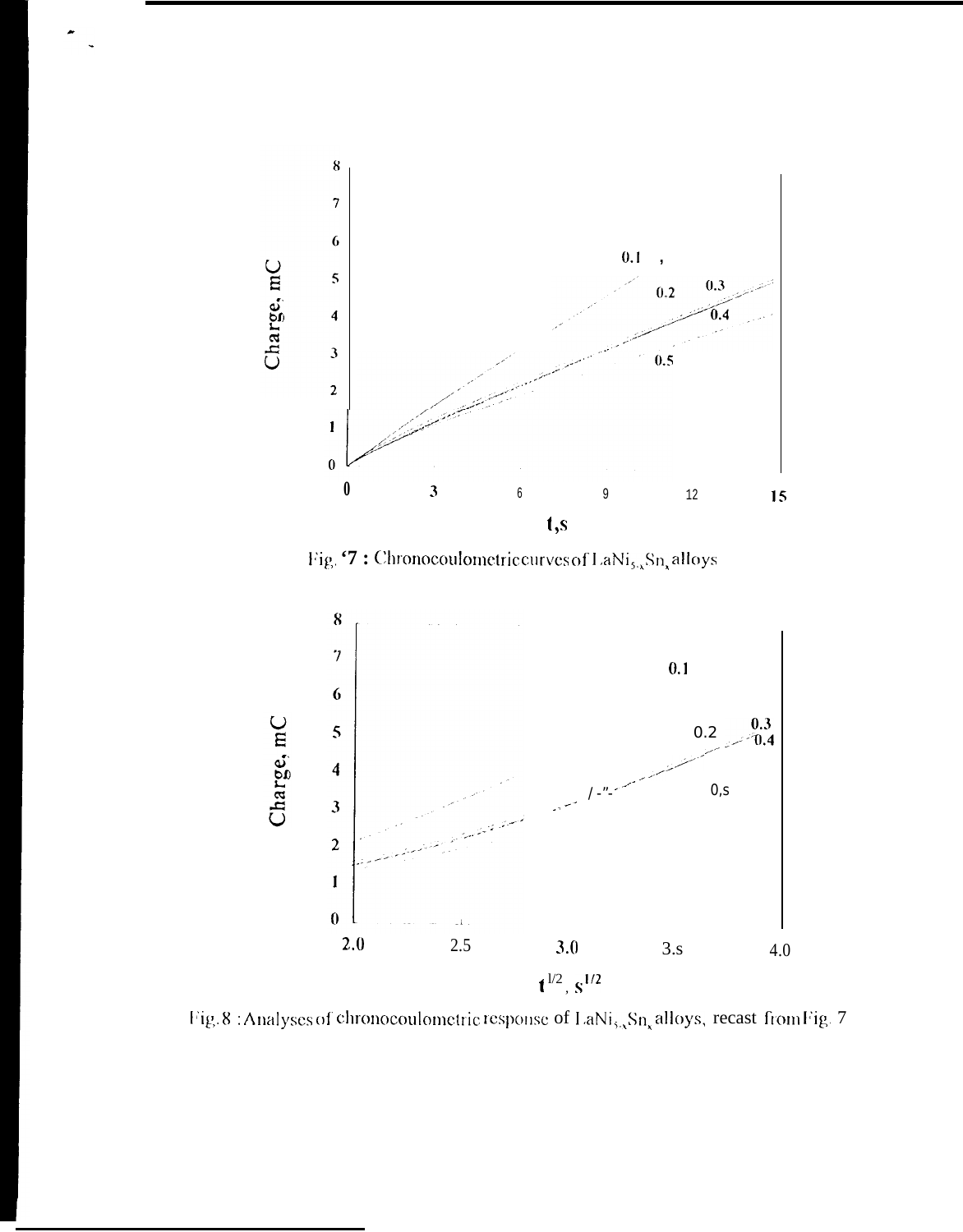

Fig.  $\mathfrak{S}$ : Chronocoulometric curves of LaNi<sub>s</sub> Sn, alloys



Fig. 8 : Analyses of chronocoulometric response of LaNi<sub>s, Sn<sub>x</sub></sub> alloys, recast from Fig. 7